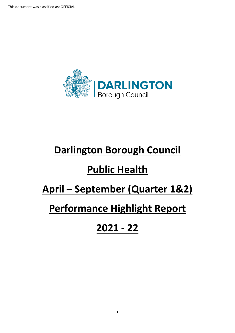

# **Darlington Borough Council**

# **Public Health**

# **April – September (Quarter 1&2)**

## **Performance Highlight Report**

# **2021 - 22**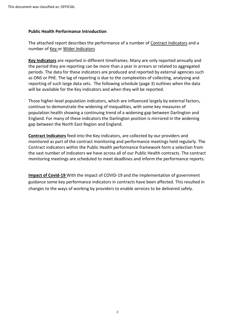#### **Public Health Performance Introduction**

The attached report describes the performance of a number of Contract Indicators and a number of Key or Wider Indicators

**Key Indicators** are reported in different timeframes. Many are only reported annually and the period they are reporting can be more than a year in arrears or related to aggregated periods. The data for these indicators are produced and reported by external agencies such as ONS or PHE. The lag of reporting is due to the complexities of collecting, analysing and reporting of such large data sets. The following schedule (page 3) outlines when the data will be available for the Key indicators and when they will be reported.

Those higher-level population indicators, which are influenced largely by external factors, continue to demonstrate the widening of inequalities, with some key measures of population health showing a continuing trend of a widening gap between Darlington and England. For many of these indicators the Darlington position is mirrored in the widening gap between the North East Region and England.

**Contract Indicators** feed into the Key indicators, are collected by our providers and monitored as part of the contract monitoring and performance meetings held regularly. The Contract indicators within the Public Health performance framework form a selection from the vast number of indicators we have across all of our Public Health contracts. The contract monitoring meetings are scheduled to meet deadlines and inform the performance reports.

**Impact of Covid-19** With the impact of COVID-19 and the implementation of government guidance some key performance indicators in contracts have been affected. This resulted in changes to the ways of working by providers to enable services to be delivered safely.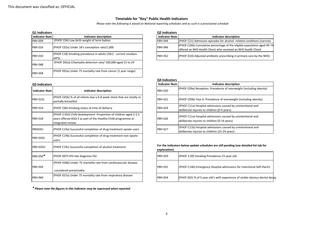#### **Timetable for "Key" Public Health Indicators**

*Please note the following is based on National reporting schedules and as such is a provisional schedule*

| Q1 Indicators        |                                                                          | Q2 Indicators        |                                                                                                  |
|----------------------|--------------------------------------------------------------------------|----------------------|--------------------------------------------------------------------------------------------------|
| <b>Indicator Num</b> | Indicator description                                                    | <b>Indicator Num</b> | <b>Indicator description</b>                                                                     |
| <b>PBH 009</b>       | (PHOF C04) Low birth weight of term babies                               | <b>PBH 044</b>       | (PHOF C21) Admission episodes for alcohol -rela                                                  |
| <b>PBH 016</b>       | (PHOF C02a) Under 18's conception rate/1,000                             | <b>PBH 046</b>       | (PHOF C26b) Cumulative percentage of the eligi<br>loffered an NHS Health Check who received an N |
| <b>PBH 033</b>       | (PHOF C18) Smoking prevalence in adults (18+) - current smokers<br>(APS) | <b>PBH 052</b>       | (PHOF D10) Adjusted antibiotic prescribing in pr                                                 |
| <b>PBH 048</b>       | (PHOF D02a) Chlamydia detection rate/100,000 aged 15 to 24               |                      |                                                                                                  |
| <b>PBH 058</b>       | (PHOF E05a) Under 75 mortality rate from cancer (1 year range)           |                      |                                                                                                  |

#### **Q1 Indicators Q2 Indicators**

| ------------         |                                                                       |  | -------------        |                                                                         |  |
|----------------------|-----------------------------------------------------------------------|--|----------------------|-------------------------------------------------------------------------|--|
| <b>Indicator Num</b> | Indicator description                                                 |  | <b>Indicator Num</b> | Indicator description                                                   |  |
| PBH 009              | (PHOF C04) Low birth weight of term babies                            |  | <b>PBH 044</b>       | (PHOF C21) Admission episodes for alcohol -related conditions (narrow)  |  |
| PBH 016              | (PHOF C02a) Under 18's conception rate/1,000                          |  | <b>PBH 046</b>       | (PHOF C26b) Cumulative percentage of the eligible population aged 40-74 |  |
|                      |                                                                       |  |                      | loffered an NHS Health Check who received an NHS health Check           |  |
|                      | $ $ (PHOF C18) Smoking prevalence in adults $(18+)$ - current smokers |  | <b>PBH 052</b>       |                                                                         |  |
| PBH 033              | (APS)                                                                 |  |                      | (PHOF D10) Adjusted antibiotic prescribing in primary care by the NHS)  |  |

#### **Q4 Indicators**

|                                                                                                                                                          | ------------         |                                                                                                              |
|----------------------------------------------------------------------------------------------------------------------------------------------------------|----------------------|--------------------------------------------------------------------------------------------------------------|
|                                                                                                                                                          | <b>Indicator Num</b> | Indicator description                                                                                        |
| Indicator description                                                                                                                                    | <b>PBH 020</b>       | (PHOF C09a) Reception: Prevalence of overweight (including obesity)                                          |
| (PHOF C05b) % of all infants due a 6-8 week check that are totally or<br>partially breastfed                                                             | <b>PBH 021</b>       | (PHOF C09b) Year 6: Prevalence of overweight (including obesity)                                             |
| (PHOF C06) Smoking status at time of delivery                                                                                                            | <b>PBH 024</b>       | (PHOF C11a) Hospital admissions caused by unintentional and<br>deliberate injuries to children (0-4 years)   |
| (PHOF 2.05ii) Child development -Proportion of children aged 2-2.5<br>years offered ASQ-3 as part of the Healthy Child programme or<br>integrated review | <b>PBH 026</b>       | (PHOF C11a) Hospital admissions caused by unintentional and<br>deliberate injuries to children (0-14 years)  |
| (PHOF C19a) Successful completion of drug treatment-opiate users                                                                                         | <b>PBH 027</b>       | (PHOF C11b) Hospital admissions caused by unintentional and<br>deliberate injuries to children (15-24 years) |

**For the indicators below update schedules are still pending (see detailed list tab for explanation)**

| <b>PBH 029</b> | (PHOF 2.09) Smoking Prevalence-15-year-old                                   |
|----------------|------------------------------------------------------------------------------|
| <b>PBH 031</b> | (PHOF C14b) Emergency Hospital admissions for intentional Self-Harm)         |
| <b>PBH 054</b> | (PHOF E02) % of 5 year old's with experience of visible obvious dental decay |

#### **Q3 Indicators**

| <b>Indicator Num</b> | Indicator description                                                                                                                                    | <b>PBH 020</b> | (PHOF C09a) Reception: Prevalence of overw                                                   |
|----------------------|----------------------------------------------------------------------------------------------------------------------------------------------------------|----------------|----------------------------------------------------------------------------------------------|
| <b>PBH 013c</b>      | (PHOF C05b) % of all infants due a 6-8 week check that are totally or<br>partially breastfed                                                             | <b>PBH 021</b> | (PHOF C09b) Year 6: Prevalence of overweigh                                                  |
| <b>PBH 014</b>       | (PHOF C06) Smoking status at time of delivery                                                                                                            | <b>PBH 024</b> | (PHOF C11a) Hospital admissions caused by u<br>deliberate injuries to children (0-4 years)   |
| <b>PBH 018</b>       | (PHOF 2.05ii) Child development -Proportion of children aged 2-2.5<br>years offered ASQ-3 as part of the Healthy Child programme or<br>integrated review | <b>PBH 026</b> | (PHOF C11a) Hospital admissions caused by u<br>deliberate injuries to children (0-14 years)  |
| <b>PBH035i</b>       | (PHOF C19a) Successful completion of drug treatment-opiate users                                                                                         | <b>PBH 027</b> | (PHOF C11b) Hospital admissions caused by u<br>deliberate injuries to children (15-24 years) |
| <b>PBH 035ii</b>     | (PHOF C19b) Successful completion of drug treatment-non opiate<br>users                                                                                  |                |                                                                                              |
| PBH 035iii           | (PHOF C19c) Successful completion of alcohol treatment                                                                                                   | explanation)   | For the indicators below update schedules are still pending (                                |
| PBH 050 <sup>*</sup> | (PHOF D07) HIV late diagnosis (%)                                                                                                                        | <b>PBH 029</b> | (PHOF 2.09) Smoking Prevalence-15-year-old                                                   |
| <b>PBH 056</b>       | (PHOF E04b) Under 75 mortality rate from cardiovascular disease<br>considered preventable                                                                | <b>PBH 031</b> | (PHOF C14b) Emergency Hospital admissions                                                    |
| <b>PBH 060</b>       | (PHOF E07a) Under 75 mortality rate from respiratory disease                                                                                             | <b>PBH 054</b> | (PHOF E02) % of 5 year old's with experience                                                 |

*\* Please note the figures in this indicator may be supressed when reported*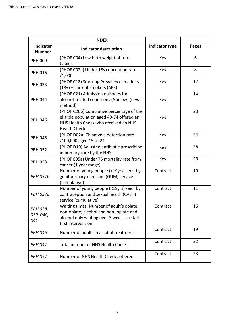|                              | <b>INDEX</b>                                                                                                                                            |                       |              |
|------------------------------|---------------------------------------------------------------------------------------------------------------------------------------------------------|-----------------------|--------------|
| Indicator<br><b>Number</b>   | <b>Indicator description</b>                                                                                                                            | <b>Indicator type</b> | <b>Pages</b> |
| <b>PBH 009</b>               | (PHOF C04) Low birth weight of term<br>babies                                                                                                           | Key                   | 6            |
| <b>PBH 016</b>               | (PHOF C02a) Under 18s conception rate<br>/1,000                                                                                                         | Key                   | 8            |
| <b>PBH 033</b>               | (PHOF C18) Smoking Prevalence in adults<br>(18+) - current smokers (APS)                                                                                | Key                   | 12           |
| <b>PBH 044</b>               | (PHOF C21) Admission episodes for<br>alcohol-related conditions (Narrow) (new<br>method)                                                                | Key                   | 14           |
| <b>PBH 046</b>               | (PHOF C26b) Cumulative percentage of the<br>eligible population aged 40-74 offered an<br>NHS Health Check who received an NHS<br><b>Health Check</b>    | Key                   | 20           |
| <b>PBH 048</b>               | (PHOF D02a) Chlamydia detection rate<br>/100,000 aged 15 to 24                                                                                          | Key                   | 24           |
| <b>PBH 052</b>               | (PHOF D10) Adjusted antibiotic prescribing<br>in primary care by the NHS                                                                                | Key                   | 26           |
| <b>PBH 058</b>               | (PHOF E05a) Under 75 mortality rate from<br>cancer (1 year range)                                                                                       | Key                   | 28           |
| <b>PBH 037b</b>              | Number of young people (<19yrs) seen by<br>genitourinary medicine (GUM) service<br>(cumulative)                                                         | Contract              | 10           |
| <b>PBH 037c</b>              | Number of young people (<19yrs) seen by<br>contraception and sexual health (CASH)<br>service (cumulative)                                               | Contract              | 11           |
| PBH 038,<br>039, 040,<br>041 | Waiting times: Number of adult's opiate,<br>non-opiate, alcohol and non- opiate and<br>alcohol only waiting over 3 weeks to start<br>first intervention | Contract              | 16           |
| <b>PBH 045</b>               | Number of adults in alcohol treatment                                                                                                                   | Contract              | 19           |
| <b>PBH 047</b>               | Total number of NHS Health Checks                                                                                                                       | Contract              | 22           |
| <b>PBH 057</b>               | Number of NHS Health Checks offered                                                                                                                     | Contract              | 23           |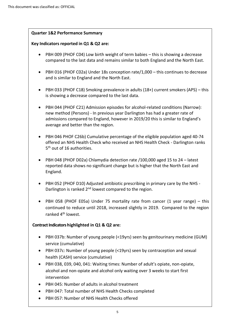#### **Quarter 1&2 Performance Summary**

#### **Key Indicators reported in Q1 & Q2 are:**

- PBH 009 (PHOF C04) Low birth weight of term babies this is showing a decrease compared to the last data and remains similar to both England and the North East.
- PBH 016 (PHOF C02a) Under 18s conception rate/1,000 this continues to decrease and is similar to England and the North East.
- PBH 033 (PHOF C18) Smoking prevalence in adults (18+) current smokers (APS) this is showing a decrease compared to the last data.
- PBH 044 (PHOF C21) Admission episodes for alcohol-related conditions (Narrow): new method (Persons) - In previous year Darlington has had a greater rate of admissions compared to England, however in 2019/20 this is similar to England's average and better than the region.
- PBH 046 PHOF C26b) Cumulative percentage of the eligible population aged 40-74 offered an NHS Health Check who received an NHS Health Check - Darlington ranks 5<sup>th</sup> out of 16 authorities.
- PBH 048 (PHOF D02a) Chlamydia detection rate /100,000 aged 15 to 24 latest reported data shows no significant change but is higher that the North East and England.
- PBH 052 (PHOF D10) Adjusted antibiotic prescribing in primary care by the NHS Darlington is ranked  $2^{nd}$  lowest compared to the region.
- PBH 058 (PHOF E05a) Under 75 mortality rate from cancer (1 year range) this continued to reduce until 2018, increased slightly in 2019. Compared to the region ranked 4<sup>th</sup> lowest.

## **Contract Indicators highlighted in Q1 & Q2 are:**

- PBH 037b: Number of young people (<19yrs) seen by genitourinary medicine (GUM) service (cumulative)
- PBH 037c: Number of young people (<19yrs) seen by contraception and sexual health (CASH) service (cumulative)
- PBH 038, 039, 040, 041: Waiting times: Number of adult's opiate, non-opiate, alcohol and non-opiate and alcohol only waiting over 3 weeks to start first intervention
- PBH 045: Number of adults in alcohol treatment
- PBH 047: Total number of NHS Health Checks completed
- PBH 057: Number of NHS Health Checks offered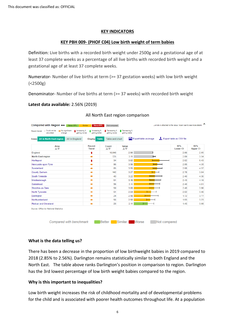#### **KEY INDICATORS**

#### **KEY PBH 009- (PHOF C04) Low birth weight of term babies**

Definition: Live births with a recorded birth weight under 2500g and a gestational age of at least 37 complete weeks as a percentage of all live births with recorded birth weight and a gestational age of at least 37 complete weeks.

Numerator- Number of live births at term (>= 37 gestation weeks) with low birth weight (<2500g)

Denominator- Number of live births at term (>= 37 weeks) with recorded birth weight

#### **Latest data available:** 2.56% (2019)

| <b>All in North East region</b><br>All in England<br><b>Areas</b> | <b>Table</b><br><b>Display</b> | <b>Table and chart</b> | Ā           | Export table as image | Export table as CSV file |                        |
|-------------------------------------------------------------------|--------------------------------|------------------------|-------------|-----------------------|--------------------------|------------------------|
| Area<br>AV                                                        | Recent<br><b>Trend</b>         | Count<br>AV            | Value<br>AV |                       | 95%<br><b>Lower CI</b>   | 95%<br><b>Upper CI</b> |
| England                                                           | ŧ                              | 16.048                 | 2.90        | H                     | 2.86                     | 2.95                   |
| <b>North East region</b>                                          |                                | 725                    | 3.11        | $\mathsf{H}$          | 2.89                     | 3.34                   |
| Hartlepool                                                        | ٠                              | 34                     | 3.92        |                       | 2.82                     | 5.43                   |
| Newcastle upon Tyne                                               | ۰                              | 98                     | 3.58        |                       | 2.95                     | 4.35                   |
| Sunderland                                                        | ۰                              | 85                     | 3.55        |                       | 2.88                     | 4.37                   |
| <b>County Durham</b>                                              |                                | 142                    | 3.27        |                       | 2.78                     | 3.84                   |
| South Tyneside                                                    | ۰                              | 43                     | 3.22        |                       | 2.40                     | 4.30                   |
| Middlesbrough                                                     | ۰                              | 51                     | 3.19        |                       | 2.43                     | 4.16                   |
| Gateshead                                                         | ÷                              | 56                     | 3.11        |                       | 2.40                     | 4.01                   |
| Stockton-on-Tees                                                  | ۰                              | 59                     | 3.08        |                       | 2.40                     | 3.96                   |
| North Tyneside                                                    |                                | 51                     | 2.64        |                       | 2.02                     | 3.46                   |
| Darlington                                                        | ۰                              | 24                     | 2.56        |                       | 1.72                     | 3.77                   |
| Northumberland                                                    | ۰                              | 56                     | 2.50        |                       | 1.93                     | 3.23                   |
| <b>Redcar and Cleveland</b>                                       | ∙                              | 26                     | 2.11        | ⊢                     | 1.45                     | 3.08                   |

### All North East region comparison

#### **What is the data telling us?**

There has been a decrease in the proportion of low birthweight babies in 2019 compared to 2018 (2.85% to 2.56%). Darlington remains statistically similar to both England and the North East. The table above ranks Darlington's position in comparison to region. Darlington has the 3rd lowest percentage of low birth weight babies compared to the region.

## **Why is this important to inequalities?**

Low birth weight increases the risk of childhood mortality and of developmental problems for the child and is associated with poorer health outcomes throughout life. At a population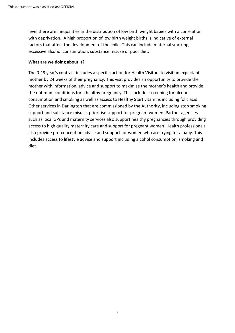level there are inequalities in the distribution of low birth weight babies with a correlation with deprivation. A high proportion of low birth weight births is indicative of external factors that affect the development of the child. This can include maternal smoking, excessive alcohol consumption, substance misuse or poor diet.

#### **What are we doing about it?**

The 0-19 year's contract includes a specific action for Health Visitors to visit an expectant mother by 24 weeks of their pregnancy. This visit provides an opportunity to provide the mother with information, advice and support to maximise the mother's health and provide the optimum conditions for a healthy pregnancy. This includes screening for alcohol consumption and smoking as well as access to Healthy Start vitamins including folic acid. Other services in Darlington that are commissioned by the Authority, including stop smoking support and substance misuse, prioritise support for pregnant women. Partner agencies such as local GPs and maternity services also support healthy pregnancies through providing access to high quality maternity care and support for pregnant women. Health professionals also provide pre-conception advice and support for women who are trying for a baby. This includes access to lifestyle advice and support including alcohol consumption, smoking and diet.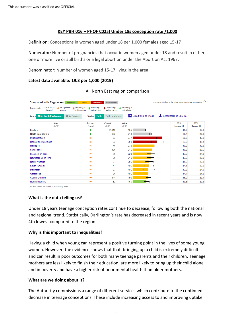#### **KEY PBH 016 – PHOF C02a) Under 18s conception rate /1,000**

Definition: Conceptions in women aged under 18 per 1,000 females aged 15-17

Numerator: Number of pregnancies that occur in women aged under 18 and result in either one or more live or still births or a legal abortion under the Abortion Act 1967.

Denominator: Number of women aged 15-17 living in the area

#### **Latest data available: 19.3 per 1,000 (2019)**

| Compared with Region<br>Better 95%                                                                            | Similar<br>Worse 95%           | Not compared                    |                                |                                 | + a note is attached to the value, hover over to see more details |                        |
|---------------------------------------------------------------------------------------------------------------|--------------------------------|---------------------------------|--------------------------------|---------------------------------|-------------------------------------------------------------------|------------------------|
| - Could not be<br>No significant<br>+ Increasing &<br>Recent trends:<br>calculated<br>change<br>getting worse | Increasing &<br>getting better | L Decreasing &<br>getting worse | Decreasing &<br>getting better |                                 |                                                                   |                        |
| <b>All in North East region</b><br>All in England<br><b>Areas</b>                                             | <b>Display</b> Table           | Table and chart                 |                                | <b>AN</b> Export table as image | Export table as CSV file                                          |                        |
| Area<br>$A \nabla$                                                                                            | Recent<br><b>Trend</b>         | Count<br>AV                     | Value<br>AV                    |                                 | 95%<br><b>Lower CI</b>                                            | 95%<br><b>Upper CI</b> |
| England                                                                                                       |                                | 14.019                          | 15.7                           |                                 | 15.5                                                              | 16.0                   |
| <b>North East region</b>                                                                                      | ı                              | 872                             | 21.8                           | $\mathbf{H}$                    | 20.4                                                              | 23.3                   |
| Middlesbrough                                                                                                 |                                | 83                              | 37.1                           |                                 | 29.5                                                              | 46.0                   |
| <b>Redcar and Cleveland</b>                                                                                   | ÷                              | 62                              | 30.0                           |                                 | 23.0                                                              | 38.4                   |
| Hartlepool                                                                                                    |                                | 40                              | 27.0                           |                                 | 19.3                                                              | 36.8                   |
| Sunderland                                                                                                    |                                | 100                             | 24.3                           |                                 | 19.8                                                              | 29.5                   |
| Stockton-on-Tees                                                                                              |                                | 70                              | 22.0                           |                                 | 17.2                                                              | 27.8                   |
| Newcastle upon Tyne                                                                                           |                                | 90                              | 21.9                           |                                 | 17.6                                                              | 26.9                   |
| North Tyneside                                                                                                |                                | 64                              | 20.2                           |                                 | 15.6                                                              | 25.8                   |
| South Tyneside                                                                                                | ÷                              | 44                              | 19.3                           |                                 | 14.1                                                              | 26.0                   |
| Darlington                                                                                                    |                                | 33                              | 19.3                           |                                 | 13.3                                                              | 27.0                   |
| Gateshead                                                                                                     |                                | 60                              | 19.2                           | ⊢                               | 14.7                                                              | 24.8                   |
| <b>County Durham</b>                                                                                          |                                | 144                             | 19.0                           |                                 | 16.0                                                              | 22.4                   |
| Northumberland                                                                                                |                                | 82                              | 16.7                           | $\overline{\phantom{0}}$        | 13.3                                                              | 20.8                   |

#### All North East region comparison

Source: Office for National Statistics (ONS)

## **What is the data telling us?**

Under 18 years teenage conception rates continue to decrease, following both the national and regional trend. Statistically, Darlington's rate has decreased in recent years and is now 4th lowest compared to the region.

#### **Why is this important to inequalities?**

Having a child when young can represent a positive turning point in the lives of some young women. However, the evidence shows that that bringing up a child is extremely difficult and can result in poor outcomes for both many teenage parents and their children. Teenage mothers are less likely to finish their education, are more likely to bring up their child alone and in poverty and have a higher risk of poor mental health than older mothers.

#### **What are we doing about it?**

The Authority commissions a range of different services which contribute to the continued decrease in teenage conceptions. These include increasing access to and improving uptake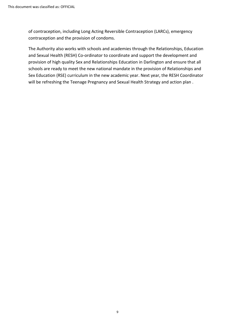of contraception, including Long Acting Reversible Contraception (LARCs), emergency contraception and the provision of condoms.

The Authority also works with schools and academies through the Relationships, Education and Sexual Health (RESH) Co-ordinator to coordinate and support the development and provision of high quality Sex and Relationships Education in Darlington and ensure that all schools are ready to meet the new national mandate in the provision of Relationships and Sex Education (RSE) curriculum in the new academic year. Next year, the RESH Coordinator will be refreshing the Teenage Pregnancy and Sexual Health Strategy and action plan .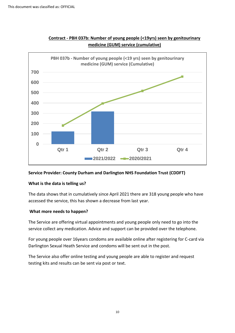

## **Contract - PBH 037b: Number of young people (<19yrs) seen by genitourinary medicine (GUM) service (cumulative)**

## **Service Provider: County Durham and Darlington NHS Foundation Trust (CDDFT)**

#### **What is the data is telling us?**

The data shows that in cumulatively since April 2021 there are 318 young people who have accessed the service, this has shown a decrease from last year.

## **What more needs to happen?**

The Service are offering virtual appointments and young people only need to go into the service collect any medication. Advice and support can be provided over the telephone.

For young people over 16years condoms are available online after registering for C-card via Darlington Sexual Heath Service and condoms will be sent out in the post.

The Service also offer online testing and young people are able to register and request testing kits and results can be sent via post or text.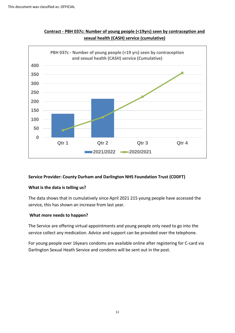

## **Contract - PBH 037c: Number of young people (<19yrs) seen by contraception and sexual health (CASH) service (cumulative)**

#### **Service Provider: County Durham and Darlington NHS Foundation Trust (CDDFT)**

#### **What is the data is telling us?**

The data shows that in cumulatively since April 2021 215 young people have accessed the service, this has shown an increase from last year.

## **What more needs to happen?**

The Service are offering virtual appointments and young people only need to go into the service collect any medication. Advice and support can be provided over the telephone.

For young people over 16years condoms are available online after registering for C-card via Darlington Sexual Heath Service and condoms will be sent out in the post.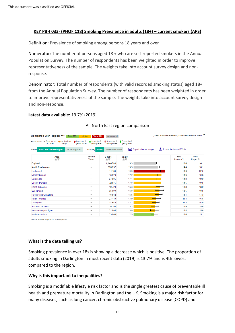#### **KEY PBH 033- (PHOF C18) Smoking Prevalence in adults (18+) – current smokers (APS)**

Definition: Prevalence of smoking among persons 18 years and over

Numerator: The number of persons aged 18 + who are self-reported smokers in the Annual Population Survey. The number of respondents has been weighted in order to improve representativeness of the sample. The weights take into account survey design and nonresponse.

Denominator: Total number of respondents (with valid recorded smoking status) aged 18+ from the Annual Population Survey. The number of respondents has been weighted in order to improve representativeness of the sample. The weights take into account survey design and non-response.

#### **Latest data available:** 13.7% (2019)

| Compared with Region<br>Better 95%                                                                            | Similar<br>Worse 95%            | Not compared                  |                                         |              | + a note is attached to the value, hover over to see more details |                        |
|---------------------------------------------------------------------------------------------------------------|---------------------------------|-------------------------------|-----------------------------------------|--------------|-------------------------------------------------------------------|------------------------|
| - Could not be<br>No significant<br>♦ Increasing &<br>Recent trends:<br>calculated<br>change<br>getting worse | Increasing &<br>getting better  | Decreasing &<br>getting worse | <b>L</b> Decreasing &<br>getting better |              |                                                                   |                        |
| <b>All in North East region</b><br>All in England<br>Areas                                                    | <b>Table</b><br><b>Display</b>  | Table and chart               | <b>AN</b> Export table as image         |              | Export table as CSV file                                          |                        |
| Area<br>AV                                                                                                    | Recent<br><b>Trend</b>          | Count<br>AV                   | Value<br>$A \nabla$                     |              | 95%<br><b>Lower CI</b>                                            | 95%<br><b>Upper CI</b> |
| England                                                                                                       | $\overline{\phantom{a}}$        | 6.144.703                     | 13.9                                    | н            | 13.6                                                              | 14.1                   |
| <b>North East region</b>                                                                                      | $\overline{\phantom{0}}$        | 326.257                       | 15.3                                    | $\mathsf{H}$ | 14.4                                                              | 16.1                   |
| Hartlepool                                                                                                    | $\qquad \qquad \blacksquare$    | 14.180                        | 19.3                                    |              | 16.6                                                              | 22.0                   |
| Middlesbrough                                                                                                 | $\qquad \qquad$                 | 18,578                        | 17.2                                    |              | 14.6                                                              | 19.8                   |
| Gateshead                                                                                                     | $\qquad \qquad \blacksquare$    | 27.805                        | 17.1                                    |              | 14.3                                                              | 19.9                   |
| <b>County Durham</b>                                                                                          | $\qquad \qquad$                 | 72.875                        | 17.0                                    |              | 14.5                                                              | 19.5                   |
| South Tyneside                                                                                                | $\qquad \qquad \blacksquare$    | 19.723                        | 16.3                                    |              | 13.8                                                              | 18.9                   |
| Sunderland                                                                                                    | $\hspace{0.1mm}-\hspace{0.1mm}$ | 35.699                        | 16.0                                    |              | 13.5                                                              | 18.5                   |
| <b>Redcar and Cleveland</b>                                                                                   | $\qquad \qquad$                 | 16,942                        | 15.5                                    |              | 13.1                                                              | 17.8                   |
| North Tyneside                                                                                                | $\overline{\phantom{a}}$        | 23.140                        | 13.9                                    |              | 11.3                                                              | 16.6                   |
| Darlington                                                                                                    | $\qquad \qquad \blacksquare$    | 11,552                        | 13.7                                    |              | 11.4                                                              | 16.0                   |
| Stockton-on-Tees                                                                                              | $\overline{\phantom{a}}$        | 20.294                        | 13.2                                    |              | 10.9                                                              | 15.6                   |
| Newcastle upon Tyne                                                                                           | $\,$                            | 31.804                        | 13.0                                    |              | 10.4                                                              | 15.6                   |
| Northumberland                                                                                                | $\qquad \qquad \blacksquare$    | 33.849                        | 12.9                                    |              | 10.6                                                              | 15.1                   |

### All North East region comparison

Source: Annual Population Survey (APS)

#### **What is the data telling us?**

Smoking prevalence in over 18s is showing a decrease which is positive. The proportion of adults smoking in Darlington in most recent data (2019) is 13.7% and is 4th lowest compared to the region.

#### **Why is this important to inequalities?**

Smoking is a modifiable lifestyle risk factor and is the single greatest cause of preventable ill health and premature mortality in Darlington and the UK. Smoking is a major risk factor for many diseases, such as lung cancer, chronic obstructive pulmonary disease (COPD) and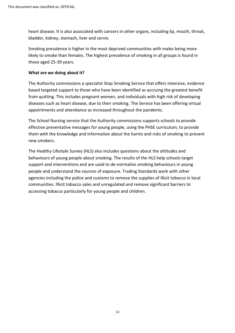heart disease. It is also associated with cancers in other organs, including lip, mouth, throat, bladder, kidney, stomach, liver and cervix.

Smoking prevalence is higher in the most deprived communities with males being more likely to smoke than females. The highest prevalence of smoking in all groups is found in those aged 25-39 years.

#### **What are we doing about it?**

The Authority commissions a specialist Stop Smoking Service that offers intensive, evidence based targeted support to those who have been identified as accruing the greatest benefit from quitting. This includes pregnant women, and individuals with high risk of developing diseases such as heart disease, due to their smoking. The Service has been offering virtual appointments and attendance as increased throughout the pandemic.

The School Nursing service that the Authority commissions supports schools to provide effective preventative messages for young people, using the PHSE curriculum, to provide them with the knowledge and information about the harms and risks of smoking to prevent new smokers.

The Healthy Lifestyle Survey (HLS) also includes questions about the attitudes and behaviours of young people about smoking. The results of the HLS help schools target support and interventions and are used to de-normalise smoking behaviours in young people and understand the sources of exposure. Trading Standards work with other agencies including the police and customs to remove the supplies of illicit tobacco in local communities. Illicit tobacco sales and unregulated and remove significant barriers to accessing tobacco particularly for young people and children.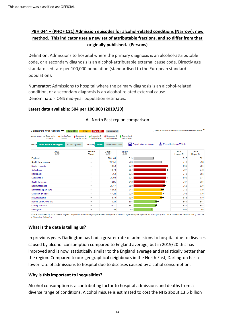## **PBH 044 – (PHOF C21) Admission episodes for alcohol-related conditions (Narrow): new method. This indicator uses a new set of attributable fractions, and so differ from that originally published. (Persons)**

Definition: Admissions to hospital where the primary diagnosis is an alcohol-attributable code, or a secondary diagnosis is an alcohol-attributable external cause code. Directly age standardised rate per 100,000 population (standardised to the European standard population).

Numerator: Admissions to hospital where the primary diagnosis is an alcohol-related condition, or a secondary diagnosis is an alcohol-related external cause. Denominator- ONS mid-year population estimates.

## **Latest data available: 504 per 100,000 (2019/20)**

| Compared with Region<br>Better 95%                                                                                       | Similar<br>Worse 95%            | Not compared                  |                                 |              | + a note is attached to the value, hover over to see more details |                        |
|--------------------------------------------------------------------------------------------------------------------------|---------------------------------|-------------------------------|---------------------------------|--------------|-------------------------------------------------------------------|------------------------|
| Recent trends: - Could not be<br>$\rightarrow$ No significant<br>A Increasing &<br>calculated<br>change<br>getting worse | Increasing &<br>getting better  | Decreasing &<br>getting worse | Decreasing &<br>getting better  |              |                                                                   |                        |
| <b>All in North East region</b><br><b>All in England</b><br>Areas                                                        | <b>Table</b><br><b>Display</b>  | <b>Table and chart</b>        | <b>AX</b> Export table as image |              | Export table as CSV file                                          |                        |
| Area<br>AV                                                                                                               | Recent<br><b>Trend</b>          | Count<br>AV                   | Value<br>AV                     |              | 95%<br><b>Lower CI</b>                                            | 95%<br><b>Upper CI</b> |
| England                                                                                                                  | $\sim$                          | 280.184                       | 519                             |              | 517                                                               | 521                    |
| <b>North East region</b>                                                                                                 | $\qquad \qquad \blacksquare$    | 19.151                        | 728                             |              | 718                                                               | 738                    |
| North Tyneside                                                                                                           | $\hspace{0.1mm}$                | 1,858                         | 879                             | н            | 839                                                               | 920                    |
| Gateshead                                                                                                                | $\qquad \qquad \blacksquare$    | 1.678                         | 837                             | н            | 797                                                               | 878                    |
| Hartlepool                                                                                                               | $\qquad \qquad \blacksquare$    | 769                           | 836                             | --           | 778                                                               | 898                    |
| Sunderland                                                                                                               | $\qquad \qquad \blacksquare$    | 2,300                         | 836                             | Н            | 802                                                               | 871                    |
| South Tyneside                                                                                                           | $\qquad \qquad$                 | 1.225                         | 812                             | ▬            | 767                                                               | 860                    |
| Northumberland                                                                                                           | $\hspace{0.1mm}-\hspace{0.1mm}$ | 2.717                         | 799                             | H            | 768                                                               | 830                    |
| Newcastle upon Tyne                                                                                                      | $\,$                            | 1.869                         | 744                             | н            | 710                                                               | 779                    |
| Stockton-on-Tees                                                                                                         | $\,$                            | 1,424                         | 739                             | $\mathsf{H}$ | 701                                                               | 779                    |
| Middlesbrough                                                                                                            | $\hspace{0.1mm}$                | 930                           | 730                             | $\mathsf{H}$ | 683                                                               | 779                    |
| <b>Redcar and Cleveland</b>                                                                                              | $\sim$                          | 826                           | 605                             | ⊢            | 564                                                               | 648                    |
| <b>County Durham</b>                                                                                                     | $\qquad \qquad$                 | 3.017                         | 567                             | н            | 547                                                               | 588                    |
| Darlington                                                                                                               | $\qquad \qquad \blacksquare$    | 539                           | 504                             | ⊢            | 462                                                               | 548                    |

## All North East region comparison

Source: Calculated by Public Health England: Population Health Analysis (PHA) team using data from NHS Digital - Hospital Episode Statistics (HES) and Office for National Statistics (ONS) - Mid Ye ar Population Estimates

## **What is the data is telling us?**

In previous years Darlington has had a greater rate of admissions to hospital due to diseases caused by alcohol consumption compared to England average, but in 2019/20 this has improved and is now statistically similar to the England average and statistically better than the region. Compared to our geographical neighbours in the North East, Darlington has a lower rate of admissions to hospital due to diseases caused by alcohol consumption.

## **Why is this important to inequalities?**

Alcohol consumption is a contributing factor to hospital admissions and deaths from a diverse range of conditions. Alcohol misuse is estimated to cost the NHS about £3.5 billion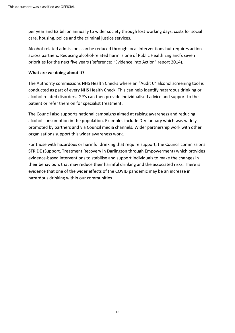per year and £2 billion annually to wider society through lost working days, costs for social care, housing, police and the criminal justice services.

Alcohol-related admissions can be reduced through local interventions but requires action across partners. Reducing alcohol-related harm is one of Public Health England's seven priorities for the next five years (Reference: "Evidence into Action" report 2014).

#### **What are we doing about it?**

The Authority commissions NHS Health Checks where an "Audit C" alcohol screening tool is conducted as part of every NHS Health Check. This can help identify hazardous drinking or alcohol related disorders. GP's can then provide individualised advice and support to the patient or refer them on for specialist treatment.

The Council also supports national campaigns aimed at raising awareness and reducing alcohol consumption in the population. Examples include Dry January which was widely promoted by partners and via Council media channels. Wider partnership work with other organisations support this wider awareness work.

For those with hazardous or harmful drinking that require support, the Council commissions STRIDE (Support, Treatment Recovery in Darlington through Empowerment) which provides evidence-based interventions to stabilise and support individuals to make the changes in their behaviours that may reduce their harmful drinking and the associated risks. There is evidence that one of the wider effects of the COVID pandemic may be an increase in hazardous drinking within our communities .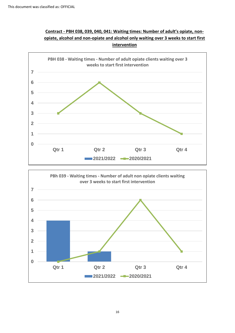



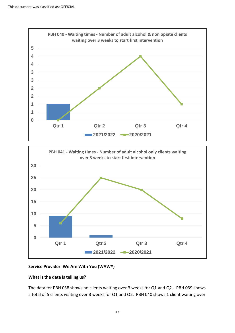



## **Service Provider: We Are With You (WAWY)**

## **What is the data is telling us?**

The data for PBH 038 shows no clients waiting over 3 weeks for Q1 and Q2. PBH 039 shows a total of 5 clients waiting over 3 weeks for Q1 and Q2. PBH 040 shows 1 client waiting over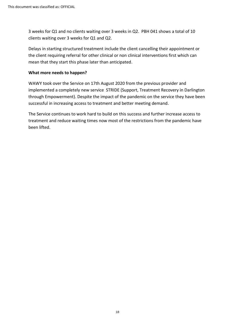3 weeks for Q1 and no clients waiting over 3 weeks in Q2. PBH 041 shows a total of 10 clients waiting over 3 weeks for Q1 and Q2.

Delays in starting structured treatment include the client cancelling their appointment or the client requiring referral for other clinical or non clinical interventions first which can mean that they start this phase later than anticipated.

#### **What more needs to happen?**

WAWY took over the Service on 17th August 2020 from the previous provider and implemented a completely new service STRIDE (Support, Treatment Recovery in Darlington through Empowerment). Despite the impact of the pandemic on the service they have been successful in increasing access to treatment and better meeting demand.

The Service continues to work hard to build on this success and further increase access to treatment and reduce waiting times now most of the restrictions from the pandemic have been lifted.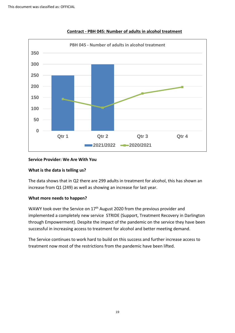

#### **Contract - PBH 045: Number of adults in alcohol treatment**

### **Service Provider: We Are With You**

#### **What is the data is telling us?**

The data shows that in Q2 there are 299 adults in treatment for alcohol, this has shown an increase from Q1 (249) as well as showing an increase for last year.

#### **What more needs to happen?**

WAWY took over the Service on 17<sup>th</sup> August 2020 from the previous provider and implemented a completely new service STRIDE (Support, Treatment Recovery in Darlington through Empowerment). Despite the impact of the pandemic on the service they have been successful in increasing access to treatment for alcohol and better meeting demand.

The Service continues to work hard to build on this success and further increase access to treatment now most of the restrictions from the pandemic have been lifted.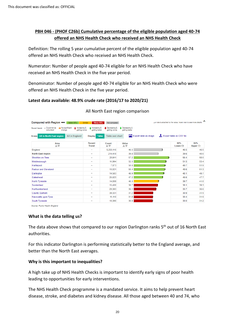## **PBH 046 - (PHOF C26b) Cumulative percentage of the eligible population aged 40-74 offered an NHS Health Check who received an NHS Health Check**

Definition: The rolling 5 year cumulative percent of the eligible population aged 40-74 offered an NHS Health Check who received an NHS Health Check.

Numerator: Number of people aged 40-74 eligible for an NHS Health Check who have received an NHS Health Check in the five year period.

Denominator: Number of people aged 40-74 eligible for an NHS Health Check who were offered an NHS Health Check in the five year period.

### **Latest data available: 48.9% crude rate (2016/17 to 2020/21)**

| Compared with Region<br>Better 95%                                                                            | Similar<br>Worse 95%            | Not compared                  |                                | + a note is attached to the value, hover over to see more details |                          | ́                      |
|---------------------------------------------------------------------------------------------------------------|---------------------------------|-------------------------------|--------------------------------|-------------------------------------------------------------------|--------------------------|------------------------|
| - Could not be<br>No significant<br>+ Increasing &<br>Recent trends:<br>calculated<br>change<br>getting worse | Increasing &<br>getting better  | Decreasing &<br>getting worse | Decreasing &<br>getting better |                                                                   |                          |                        |
| <b>All in North East region</b><br>All in England<br>Areas                                                    | <b>Display</b> Table            | <b>Table and chart</b>        | Export table as image          |                                                                   | Export table as CSV file |                        |
| Area<br>$A \nabla$                                                                                            | Recent<br><b>Trend</b>          | Count<br>AV                   | Value<br>AV                    |                                                                   | 95%<br><b>Lower CI</b>   | 95%<br><b>Upper CI</b> |
| England                                                                                                       | $\qquad \qquad$                 | 5.253.116                     | 46.5                           |                                                                   | 46.5                     | 46.5                   |
| <b>North East region</b>                                                                                      | $\qquad \qquad$                 | 214,418                       | 39.8                           |                                                                   | 39.6                     | 40.0                   |
| Stockton-on-Tees                                                                                              | $\qquad \qquad \blacksquare$    | 20,911                        | 57.2                           |                                                                   | 56.4                     | 58.0                   |
| Middlesbrough                                                                                                 | $\hspace{0.1mm}-\hspace{0.1mm}$ | 11,994                        | 52.5                           | н                                                                 | 51.5                     | 53.4                   |
| Hartlepool                                                                                                    | $\qquad \qquad$                 | 7,873                         | 50.8                           | н                                                                 | 49.7                     | 51.9                   |
| <b>Redcar and Cleveland</b>                                                                                   | $\qquad \qquad \blacksquare$    | 13,021                        | 50.4                           | н                                                                 | 49.6                     | 51.3                   |
| Darlington                                                                                                    | $\hspace{0.1mm}-\hspace{0.1mm}$ | 14.583                        | 48.9                           |                                                                   | 48.1                     | 49.7                   |
| Gateshead                                                                                                     | $\qquad \qquad$                 | 25.623                        | 47.2                           |                                                                   | 46.6                     | 47.7                   |
| North Tyneside                                                                                                | $\overline{\phantom{0}}$        | 14.859                        | 40.3                           |                                                                   | 39.7                     | 41.0                   |
| Sunderland                                                                                                    | $\overline{\phantom{a}}$        | 15.430                        | 38.7                           |                                                                   | 38.1                     | 39.3                   |
| Northumberland                                                                                                | $\hspace{0.1mm}-\hspace{0.1mm}$ | 29,383                        | 36.1                           |                                                                   | 35.7                     | 36.6                   |
| <b>County Durham</b>                                                                                          | $\overline{\phantom{a}}$        | 39.331                        | 31.2                           |                                                                   | 30.9                     | 31.5                   |
| Newcastle upon Tyne                                                                                           | $\overline{\phantom{a}}$        | 11,110                        | 31.0                           |                                                                   | 30.4                     | 31.5                   |
| South Tyneside                                                                                                | $\qquad \qquad$                 | 10,300                        | 30.6                           |                                                                   | 30.0                     | 31.2                   |

### All North East region comparison

Source: Public Health England

#### **What is the data telling us?**

The data above shows that compared to our region Darlington ranks 5<sup>th</sup> out of 16 North East authorities.

For this indicator Darlington is performing statistically better to the England average, and better than the North East averages.

#### **Why is this important to inequalities?**

A high take up of NHS Health Checks is important to identify early signs of poor health leading to opportunities for early interventions.

The NHS Health Check programme is a mandated service. It aims to help prevent heart disease, stroke, and diabetes and kidney disease. All those aged between 40 and 74, who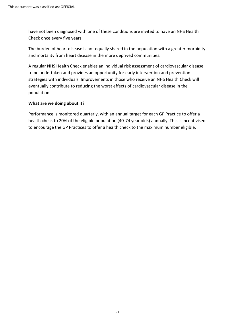have not been diagnosed with one of these conditions are invited to have an NHS Health Check once every five years.

The burden of heart disease is not equally shared in the population with a greater morbidity and mortality from heart disease in the more deprived communities.

A regular NHS Health Check enables an individual risk assessment of cardiovascular disease to be undertaken and provides an opportunity for early intervention and prevention strategies with individuals. Improvements in those who receive an NHS Health Check will eventually contribute to reducing the worst effects of cardiovascular disease in the population.

### **What are we doing about it?**

Performance is monitored quarterly, with an annual target for each GP Practice to offer a health check to 20% of the eligible population (40-74 year olds) annually. This is incentivised to encourage the GP Practices to offer a health check to the maximum number eligible.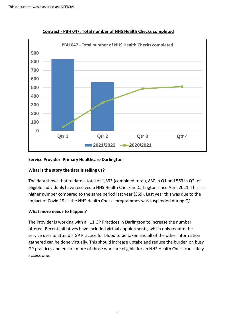

**Contract - PBH 047: Total number of NHS Health Checks completed**

#### **Service Provider: Primary Healthcare Darlington**

#### **What is the story the data is telling us?**

The data shows that to date a total of 1,393 (combined total), 830 in Q1 and 563 in Q2, of eligible individuals have received a NHS Health Check in Darlington since April 2021. This is a higher number compared to the same period last year (369). Last year this was due to the impact of Covid 19 as the NHS Health Checks programmes was suspended during Q1.

#### **What more needs to happen?**

The Provider is working with all 11 GP Practices in Darlington to increase the number offered. Recent initiatives have included virtual appointments, which only require the service user to attend a GP Practice for blood to be taken and all of the other information gathered can be done virtually. This should increase uptake and reduce the burden on busy GP practices and ensure more of those who are eligible for an NHS Health Check can safely access one.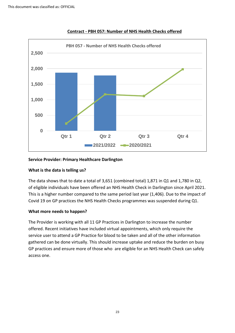

#### **Contract - PBH 057: Number of NHS Health Checks offered**

#### **Service Provider: Primary Healthcare Darlington**

#### **What is the data is telling us?**

The data shows that to date a total of 3,651 (combined total) 1,871 in Q1 and 1,780 in Q2, of eligible individuals have been offered an NHS Health Check in Darlington since April 2021. This is a higher number compared to the same period last year (1,406). Due to the impact of Covid 19 on GP practices the NHS Health Checks programmes was suspended during Q1.

#### **What more needs to happen?**

The Provider is working with all 11 GP Practices in Darlington to increase the number offered. Recent initiatives have included virtual appointments, which only require the service user to attend a GP Practice for blood to be taken and all of the other information gathered can be done virtually. This should increase uptake and reduce the burden on busy GP practices and ensure more of those who are eligible for an NHS Health Check can safely access one.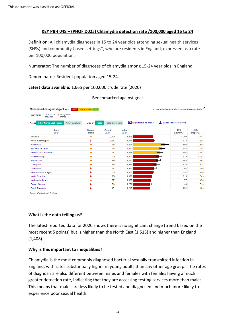#### **KEY PBH 048 – (PHOF D02a) Chlamydia detection rate /100,000 aged 15 to 24**

Definition: All chlamydia diagnoses in 15 to 24 year olds attending sexual health services (SHSs) and community-based settings\*, who are residents in England, expressed as a rate per 100,000 population.

Numerator: The number of diagnoses of chlamydia among 15-24 year olds in England.

Denominator: Resident population aged 15-24.

### **Latest data available:** 1,665 per 100,000 crude rate (2020)

#### Benchmarked against goal

| Benchmarked against goal<br>+ a note is attached to the value, hover over to see more details<br>1900 to <2300<br>$ $ <1900<br>≥2300 |                                |                        |                       |   |                          |                        |  |  |  |
|--------------------------------------------------------------------------------------------------------------------------------------|--------------------------------|------------------------|-----------------------|---|--------------------------|------------------------|--|--|--|
| - Could not be<br>No significant<br>Recent trends:<br>calculated<br>change                                                           |                                |                        |                       |   |                          |                        |  |  |  |
| <b>All in North East region</b><br>All in England<br>Areas                                                                           | <b>Table</b><br><b>Display</b> | <b>Table and chart</b> | Export table as image |   | Export table as CSV file |                        |  |  |  |
| Area<br>$A \nabla$                                                                                                                   | Recent<br><b>Trend</b>         | Count<br>AV            | Value<br>AV           |   | 95%<br><b>Lower CI</b>   | 95%<br><b>Upper CI</b> |  |  |  |
| England                                                                                                                              | ⇒                              | 92.790                 | 1.408                 |   | 1.399                    | 1.417                  |  |  |  |
| <b>North East region</b>                                                                                                             | ı                              | 4.891                  | 1,515                 |   | 1.473                    | 1,558                  |  |  |  |
| Hartlepool                                                                                                                           |                                | 234                    | 2,274                 |   | 1.992                    | 2,585                  |  |  |  |
| Stockton-on-Tees                                                                                                                     | ۰                              | 414                    | 2.077                 | ⊢ | 1.882                    | 2,288                  |  |  |  |
| <b>Redcar and Cleveland</b>                                                                                                          | ۰                              | 267                    | 1.914                 | ⊢ | 1.691                    | 2,157                  |  |  |  |
| Middlesbrough                                                                                                                        |                                | 354                    | 1.862                 |   | 1.673                    | 2,067                  |  |  |  |
| Sunderland                                                                                                                           | ∙                              | 559                    | 1.812                 | ▬ | 1.664                    | 1.968                  |  |  |  |
| Darlington                                                                                                                           |                                | 184                    | 1.665                 |   | 1.433                    | 1,924                  |  |  |  |
| Gateshead                                                                                                                            |                                | 341                    | 1,497                 |   | 1.342                    | 1.664                  |  |  |  |
| Newcastle upon Tyne                                                                                                                  |                                | 860                    | 1.382                 | н | 1.291                    | 1,478                  |  |  |  |
| North Tyneside                                                                                                                       |                                | 280                    | 1.372                 |   | 1.216                    | 1,543                  |  |  |  |
| Northumberland                                                                                                                       |                                | 393                    | 1,302                 |   | 1,177                    | 1,438                  |  |  |  |
| <b>County Durham</b>                                                                                                                 |                                | 814                    | 1.226                 |   | 1.143                    | 1,313                  |  |  |  |
| South Tyneside                                                                                                                       |                                | 191                    | 1.218                 |   | 1.051                    | 1.404                  |  |  |  |

Source: Public Health England

#### **What is the data telling us?**

The latest reported data for 2020 shows there is no significant change (trend based on the most recent 5 points) but is higher than the North East (1,515) and higher than England (1,408).

#### **Why is this important to inequalities?**

Chlamydia is the most commonly diagnosed bacterial sexually transmitted infection in England, with rates substantially higher in young adults than any other age group. The rates of diagnosis are also different between males and females with females having a much greater detection rate, indicating that they are accessing testing services more than males. This means that males are less likely to be tested and diagnosed and much more likely to experience poor sexual health.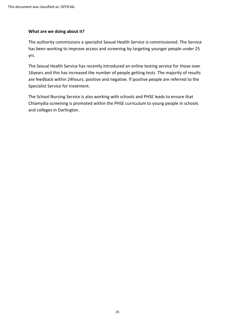#### **What are we doing about it?**

The authority commissions a specialist Sexual Health Service is commissioned. The Service has been working to improve access and screening by targeting younger people under 25 yrs.

The Sexual Health Service has recently introduced an online testing service for those over 16years and this has increased the number of people getting tests. The majority of results are feedback within 24hours; positive and negative. If positive people are referred to the Specialist Service for treatment.

The School Nursing Service is also working with schools and PHSE leads to ensure that Chlamydia screening is promoted within the PHSE curriculum to young people in schools and colleges in Darlington.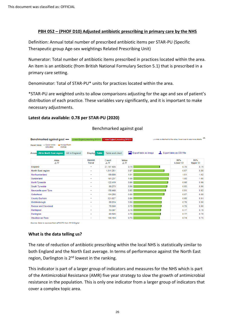#### **PBH 052 – (PHOF D10) Adjusted antibiotic prescribing in primary care by the NHS**

Definition: Annual total number of prescribed antibiotic items per STAR-PU (Specific Therapeutic group Age-sex weightings Related Prescribing Unit)

Numerator: Total number of antibiotic items prescribed in practices located within the area. An item is an antibiotic (from British National Formulary Section 5.1) that is prescribed in a primary care setting.

Denominator: Total of STAR-PU\* units for practices located within the area.

\*STAR-PU are weighted units to allow comparisons adjusting for the age and sex of patient's distribution of each practice. These variables vary significantly, and it is important to make necessary adjustments.

#### **Latest data available: 0.78 per STAR-PU (2020)**

| $\hat{\phantom{1}}$<br>Benchmarked against goal  smean England prescribing 2013/14 > mean England prescribing 2013/14<br>+ a note is attached to the value, hover over to see more details |                                |                        |                                 |                                  |                        |  |  |  |  |  |  |  |
|--------------------------------------------------------------------------------------------------------------------------------------------------------------------------------------------|--------------------------------|------------------------|---------------------------------|----------------------------------|------------------------|--|--|--|--|--|--|--|
| Recent trends: - Could not be<br>$\rightarrow$ No significant<br>calculated<br>change                                                                                                      |                                |                        |                                 |                                  |                        |  |  |  |  |  |  |  |
| <b>All in North East region</b><br>All in England<br>Areas                                                                                                                                 | <b>Table</b><br><b>Display</b> | <b>Table and chart</b> | <b>AN</b> Export table as image | $\pm$ . Export table as CSV file |                        |  |  |  |  |  |  |  |
| Area<br>AV                                                                                                                                                                                 | Recent<br><b>Trend</b>         | Count<br>AV            | Value<br>AV                     | 95%<br><b>Lower CI</b>           | 95%<br><b>Upper CI</b> |  |  |  |  |  |  |  |
| England                                                                                                                                                                                    | $\qquad \qquad$                | 27.197.435             | 0.75                            | 0.75                             | 0.75                   |  |  |  |  |  |  |  |
| <b>North East region</b>                                                                                                                                                                   | $\overline{\phantom{a}}$       | 1.541.251              | 0.87                            | 0.87                             | 0.88                   |  |  |  |  |  |  |  |
| Northumberland                                                                                                                                                                             | $\overline{\phantom{a}}$       | 199.868                | 1.01                            | 1.01                             | 1.02                   |  |  |  |  |  |  |  |
| Sunderland                                                                                                                                                                                 | $\overline{\phantom{a}}$       | 161.237                | 1.00                            | 1.00                             | 1.00                   |  |  |  |  |  |  |  |
| North Tyneside                                                                                                                                                                             | $\qquad \qquad$                | 122,419                | 0.98                            | 0.98                             | 0.99                   |  |  |  |  |  |  |  |
| South Tyneside                                                                                                                                                                             | $\,$                           | 86.275                 | 0.96                            | 0.95                             | 0.96                   |  |  |  |  |  |  |  |
| Newcastle upon Tyne                                                                                                                                                                        | $\qquad \qquad \blacksquare$   | 158,440                | 0.92                            | 0.91                             | 0.92                   |  |  |  |  |  |  |  |
| Gateshead                                                                                                                                                                                  | $\,$                           | 104.255                | 0.88                            | 0.87                             | 0.88                   |  |  |  |  |  |  |  |
| <b>County Durham</b>                                                                                                                                                                       | $\,$                           | 321.027                | 0.80                            | 0.80                             | 0.81                   |  |  |  |  |  |  |  |
| Middlesbrough                                                                                                                                                                              | $\overline{\phantom{a}}$       | 88.024                 | 0.80                            | 0.79                             | 0.80                   |  |  |  |  |  |  |  |
| <b>Redcar and Cleveland</b>                                                                                                                                                                | $\,$                           | 79.560                 | 0.79                            | 0.79                             | 0.80                   |  |  |  |  |  |  |  |
| Hartlepool                                                                                                                                                                                 | $\qquad \qquad$                | 53.397                 | 0.78                            | 0.77                             | 0.79                   |  |  |  |  |  |  |  |
| Darlington                                                                                                                                                                                 | $\,$                           | 60.565                 | 0.78                            | 0.77                             | 0.78                   |  |  |  |  |  |  |  |
| Stockton-on-Tees                                                                                                                                                                           | $\overline{\phantom{a}}$       | 106.184                | 0.75                            | 0.74                             | 0.75                   |  |  |  |  |  |  |  |

### Benchmarked against goal

Source: Data is sourced from ePACT2 from NHS Digital

## **What is the data telling us?**

The rate of reduction of antibiotic prescribing within the local NHS is statistically similar to both England and the North East average. In terms of performance against the North East region, Darlington is 2<sup>nd</sup> lowest in the ranking.

This indicator is part of a larger group of indicators and measures for the NHS which is part of the Antimicrobial Resistance (AMR) five year strategy to slow the growth of antimicrobial resistance in the population. This is only one indicator from a larger group of indicators that cover a complex topic area.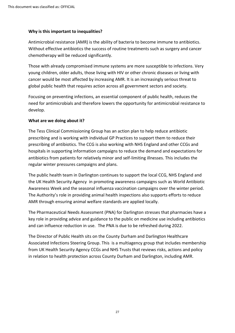#### **Why is this important to inequalities?**

Antimicrobial resistance (AMR) is the ability of bacteria to become immune to antibiotics. Without effective antibiotics the success of routine treatments such as surgery and cancer chemotherapy will be reduced significantly.

Those with already compromised immune systems are more susceptible to infections. Very young children, older adults, those living with HIV or other chronic diseases or living with cancer would be most affected by increasing AMR. It is an increasingly serious threat to global public health that requires action across all government sectors and society.

Focusing on preventing infections, an essential component of public health, reduces the need for antimicrobials and therefore lowers the opportunity for antimicrobial resistance to develop.

### **What are we doing about it?**

The Tess Clinical Commissioning Group has an action plan to help reduce antibiotic prescribing and is working with individual GP Practices to support them to reduce their prescribing of antibiotics. The CCG is also working with NHS England and other CCGs and hospitals in supporting information campaigns to reduce the demand and expectations for antibiotics from patients for relatively minor and self-limiting illnesses. This includes the regular winter pressures campaigns and plans.

The public health team in Darlington continues to support the local CCG, NHS England and the UK Health Security Agency in promoting awareness campaigns such as World Antibiotic Awareness Week and the seasonal influenza vaccination campaigns over the winter period. The Authority's role in providing animal health inspections also supports efforts to reduce AMR through ensuring animal welfare standards are applied locally.

The Pharmaceutical Needs Assessment (PNA) for Darlington stresses that pharmacies have a key role in providing advice and guidance to the public on medicine use including antibiotics and can influence reduction in use. The PNA is due to be refreshed during 2022.

The Director of Public Health sits on the County Durham and Darlington Healthcare Associated Infections Steering Group. This is a multiagency group that includes membership from UK Health Security Agency CCGs and NHS Trusts that reviews risks, actions and policy in relation to health protection across County Durham and Darlington, including AMR.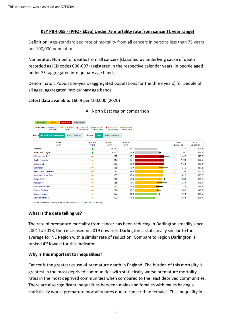### **KEY PBH 058 - (PHOF E05a) Under 75 mortality rate from cancer (1 year range)**

Definition: Age-standardised rate of mortality from all cancers in persons less than 75 years per 100,000 population.

Numerator: Number of deaths from all cancers (classified by underlying cause of death recorded as ICD codes C00-C97) registered in the respective calendar years, in people aged under 75, aggregated into quinary age bands.

Denominator: Population-years (aggregated populations for the three years) for people of all ages, aggregated into quinary age bands.

**Latest data available:** 160.9 per 100,000 (2020)

| Worse 95%<br>Better 95%<br>Similar<br>Not compared                                           |                                                 |                               |                                  |                          |                        |                        |
|----------------------------------------------------------------------------------------------|-------------------------------------------------|-------------------------------|----------------------------------|--------------------------|------------------------|------------------------|
| - Could not be<br>No significant<br>+ Increasing &<br>Recent trends:<br>calculated<br>change | Increasing &<br>getting worse<br>getting better | Decreasing &<br>getting worse | L Decreasing &<br>getting better |                          |                        |                        |
| <b>All in North East region</b><br>All in England<br>Areas                                   | <b>Table</b><br><b>Display</b>                  | <b>Table and chart</b>        |                                  |                          |                        |                        |
| Area<br>$A \nabla$                                                                           | Recent<br><b>Trend</b>                          | Count<br>AV                   | Value<br>AV                      |                          | 95%<br><b>Lower CI</b> | 95%<br><b>Upper CI</b> |
| England                                                                                      | ı                                               | 61.740                        | 125.1                            |                          | 124.1                  | 126.1                  |
| <b>North East region</b>                                                                     | ŧ                                               | 3.670                         | 144.0                            | н                        | 139.3                  | 148.7                  |
| Middlesbrough                                                                                | ⇒                                               | 192                           | 167.1                            | <b>Contract Contract</b> | 144.2                  | 192.5                  |
| South Tyneside                                                                               | ⇒                                               | 246                           | 166.1                            | ⊢                        | 146.0                  | 188.3                  |
| Gateshead                                                                                    |                                                 | 303                           | 163.9                            | p.                       | 145.9                  | 183.4                  |
| Darlington                                                                                   | ۰                                               | 165                           | 160.9                            |                          | 137.2                  | 187.5                  |
| <b>Redcar and Cleveland</b>                                                                  |                                                 | 224                           | 159.3                            | ⊢                        | 139.0                  | 181.7                  |
| Newcastle upon Tyne                                                                          |                                                 | 339                           | 157.6                            |                          | 141.2                  | 175.3                  |
| Sunderland                                                                                   | ∙                                               | 411                           | 152.9                            | ⋿                        | 138.5                  | 168.5                  |
| Hartlepool                                                                                   | ۰                                               | 135                           | 151.5                            | ⊢                        | 127.0                  | 179.4                  |
| Stockton-on-Tees                                                                             | ⇒                                               | 250                           | 138.6                            |                          | 121.9                  | 156.9                  |
| <b>County Durham</b>                                                                         | ⇒                                               | 724                           | 138.2                            | ⊢                        | 128.3                  | 148.7                  |
| <b>North Tyneside</b>                                                                        | ۰                                               | 255                           | 124.8                            | $\overline{\phantom{0}}$ | 110.0                  | 141.2                  |
| Northumberland                                                                               |                                                 | 426                           | 114.2                            | ⊢                        | 103.5                  | 125.7                  |

#### All North East region comparison

**What is the data telling us?**

The rate of premature mortality from cancer has been reducing in Darlington steadily since 2001 to 2018, then increased in 2019 onwards. Darlington is statistically similar to the average for NE Region with a similar rate of reduction. Compare to region Darlington is ranked 4<sup>th</sup> lowest for this indicator.

#### **Why is this important to inequalities?**

Cancer is the greatest cause of premature death in England. The burden of this mortality is greatest in the most deprived communities with statistically worse premature mortality rates in the most deprived communities when compared to the least deprived communities. There are also significant inequalities between males and females with males having a statistically worse premature mortality rates due to cancer than females. This inequality in